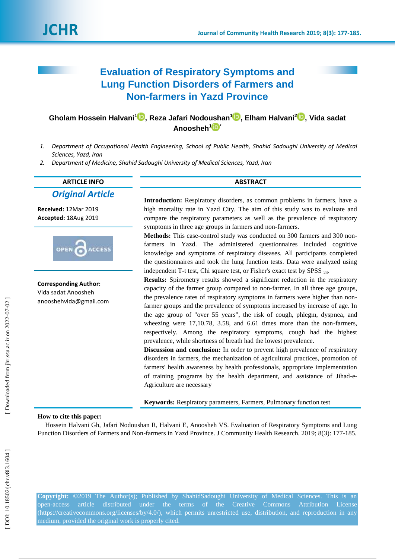# **Evaluation of Respiratory Symptoms and Lung Function Disorders of Farmers and Non -farmers in Yazd Province**

## **Gholam Hossein Halvani 1 [,](https://orcid.org/0000-0002-9695-0662) Reza Jafari Nodoushan 1 [,](https://orcid.org/0000-0003-4949-1085) Elham Halvani 2 [,](https://orcid.org/0000-0002-4903-5920) Vida sadat Anoosheh [1](https://orcid.org/0000-0001-8568-7355) \***

- *1. Department of Occupational Health Engineering, School of Public Health, Shahid Sadoughi University of Medical Sciences, Yazd, Iran*
- *2. Department of Medicine, Shahid Sadoughi University of Medical Sciences, Yazd, Iran*

## **ARTICLE INFO ABSTRACT** *Original Article*

**Received:** 12Mar 2019 **Accepted:** 18Aug 2019



**Corresponding Author:** Vida sadat Anoosheh anooshehvida@gmail.com

**Introduction:** Respiratory disorders, as common problems in farmers, have a high mortality rate in Yazd City. The aim of this study was to evaluate and compare the respiratory parameters as well as the prevalence of respiratory symptoms in three age groups in farmers and non -farmers.

Methods: This case-control study was conducted on 300 farmers and 300 nonfarmers in Yazd. The administered questionnaires included cognitive knowledge and symptoms of respiratory diseases. All participants completed the questionnaires and took the lung function tests. Data were analyzed using independent T-t test, Chi square test, or Fisher's exact test by SPSS 24.

**Results:** Spirometry results showed a significant reduction in the respiratory capacity of the farmer group compared to non -farmer. In all three age groups, the prevalence rates of respiratory symptoms in farmers were higher than non farmer groups and the prevalence of symptoms increased by increase of age. In the age group of "over 55 years", the risk of cough, phlegm, dyspnea, and wheezing were 17,10.78, 3.58, and 6.61 times more than the non-farmers, respectively. Among the respiratory symptoms, cough had the highest prevalence, while shortness of breath had the lowest prevalence.

**Discussion and conclusion:** In order to prevent high prevalence of respiratory disorders in farmers, the mechanization of agricultural practices, promotion of farmers' health awareness by health professionals, appropriate implementation of training programs by the health department, and assistance of Jihad-e-Agriculture are necessary

**Keywords:** Respiratory parameters, Farmers, Pulmonary function test

#### **How to cite this paper:**

Hossein Halvani Gh, Jafari Nodoushan R, Halvan i E, Anoosheh VS. Evaluation of Respiratory Symptoms and Lung Function Disorders of Farmers and Non-farmers in Yazd Province. J Community Health Research. 2019; 8(3): 177-185.

**Copyright:** ©2019 The Author(s); Published by ShahidSadoughi University of Medical Sciences. This is an open-access article distributed under the terms of the Creative Commons Attribution [\(https://creativecommons.org/licenses/by/4.0/\)](https://creativecommons.org/licenses/by/4.0/), which permits unrestricted use, distribution, and reproduction in any medium, provided the original work is properly cited.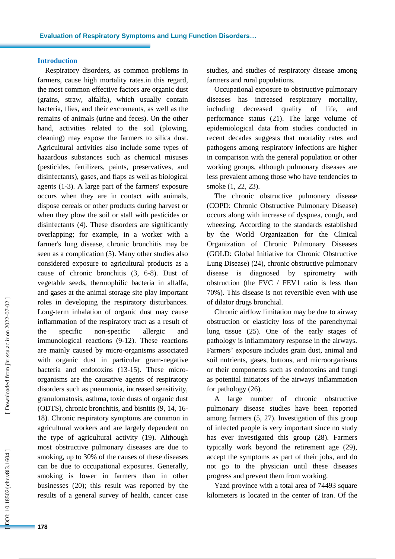## **Introduction**

Respiratory disorders, as common problems in farmers, cause high mortality rates in this regard, the most common effective factors are organic dust (grains, straw, alfalfa), which usually contain bacteria, flies , and their excrements, as well as the remains of animals (urine and feces). On the other hand, activities related to the soil (plowing, cleaning) may expose the farmer s to silica dust. Agricultural activities also include some types of hazardous substances such as chemical misuses (pesticides, fertilizers, paints, preservatives , and disinfectants), gases , and flaps as well as biological agents (1 -3). A large part of the farmers' exposure occur s when they are in contact with animals , dispose cereals or other products during harvest or when they plow the soil or stall with pesticides or disinfectants (4). These disorders are significantly overlapping ; for example, in a worker with a farmer's lung disease, chronic bronchitis may be seen as a complication (5) . Many other studies also considered exposure to agricultural products as a cause of chronic bronchitis (3, 6 - 8). Dust of vegetable seeds, thermophilic bacteria in alfalfa , and gases at the animal storage site play important role s in developing the respiratory disturbances. Long -term inhalation of organic dust may cause inflammation of the respiratory tract as a result of the specific -specific allergic and immunological reactions (9 -12). These reactions are mainly caused by micro -organisms associated with organic dust in particular gram -negative bacteria and endotoxins (13 -15). These micro organisms are the causative agents of respiratory disorders such as pneumonia, increased sensitivity, granulomatosis, asthma, toxic dusts of organic dust (ODTS), chronic bronchitis , and bisnitis (9, 14, 16 - 18). Chronic respiratory symptoms are common in agricultural workers and are largely dependent on the type of agricultural activity (19). Although most obstructive pulmonary diseases are due to smoking, up to 30% of the causes of these diseases can be due to occupational exposure s. Generally, smoking is lower in farmers than in other businesses (20) ; this result was reported by the results of a general survey of health, cancer case

studies , and studies of respiratory disease among farmers and rural populations.

Occupational exposure to obstructive pulmonary diseases has increased respiratory mortality, including decreased quality of life , and performance status (21). The large volume of epidemiological data from studies conducted in recent decades suggests that mortality rates and pathogens among respiratory infections are higher in comparison with the general population or other working groups, although pulmonary diseases are less prevalen t among those who have tendencies to smoke (1, 22, 23).

The chronic obstructive pulmonary disease (COPD: Chronic Obstructive Pulmonary Disease ) occurs along with increase of dyspnea, cough , and wheezing. According to the standards established by the World Organization for the Clinical Organization of Chronic Pulmonary Diseases (GOLD: Global Initiative for Chronic Obstructive Lung Disease) (24), chronic obstructive pulmonary disease is diagnosed by spirometry with obstruction (the FVC / FEV1 ratio is less than 70%). This disease is not reversible even with use of dilator drugs bronchial .

Chronic airflow limitation may be due to airway obstruction or elasticity loss of the parenchymal lung tissue (25). One of the early stages of pathology is inflammatory response in the airways. Farmers' exposure includes grain dust, animal and soil nutrients, gases, buttons, and microorganisms or their components such as endotoxins and fungi as potential initiators of the airways' inflammation for pathology (26).

A large number of chronic obstructive pulmonary disease studies have been reported among farmers (5, 27). Investigation of this group of infected people is very important since no study has ever investigated this group (28). Farmers typically work beyond the retirement age (29) , accept the symptoms as part of their job s, and do not go to the physician until these diseases progress and prevent them from working.

Yazd province with a total area of 74493 square kilometers is located in the center of Iran. Of the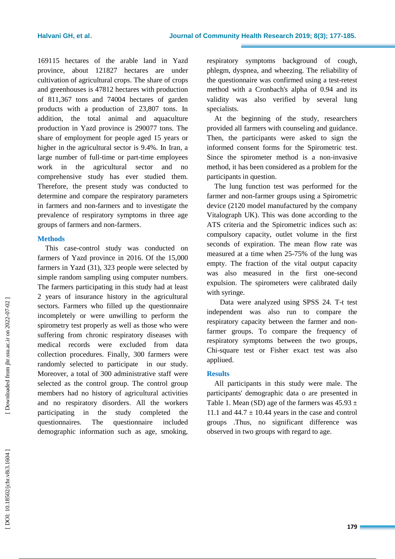169115 hectares of the arable land in Yazd province, about 121827 hectares are under cultivation of agricultural crops. The share of crops and greenhouses is 47812 hectares with production of 811,367 tons and 74004 hectares of garden products with a production of 23,807 tons. In addition, the total animal and aquaculture production in Yazd province is 290077 tons. The share of employment for people aged 15 years or higher in the agricultural sector is 9.4%. In Iran, a large number of full -time or part -time employees work in the agricultural sector and no comprehensive study has ever studied them. Therefore, the present study was conducted to determine and compare the respiratory parameters in farmer s and non -farmer s and to investigate the prevalence of respiratory symptoms in three age groups of farmers and non -farmers.

#### **Methods**

This case -control study was conducted on farmers of Yazd province in 2016. Of the 15,000 farmers in Yazd (31), 323 people were selected by simple random sampling using computer numbers. The farmers participating in this study had at least 2 years of insurance history in the agricultural sector s. Farmers who filled up the questionnaire incompletely or were unwilling to perform the spirometry test properly as well as those who were suffering from chronic respiratory diseases with medical records were excluded from data collection procedures. Finally, 300 farmers were randomly selected to participate in our study. Moreover , a total of 300 administrative staff were selected as the control group. The control group members had no history of agricultural activities and no respiratory disorders. All the workers participating in the study completed the questionnaires. The questionnaire included demographic information such as age, smoking,

respiratory symptoms background of cough, phlegm, dyspnea , and wheezing. The reliability of the questionnaire was confirmed using a test -retest method with a Cronbach's alpha of 0.94 and its validity was also verified by several lung specialists.

At the beginning of the study, researchers provided all farmers with counseling and guidance. Then, the participants were asked to sign the informed consent forms for the Spirometric test. Since the spirometer method is a non -invasive method, it has been considered as a problem for the participants in question.

The lung function test was performed for the farmer and non -farmer groups using a Spirometric device (2120 model manufactured by the company Vitalograph UK). This was done according to the ATS criteria and the Spirometric indices such as: compulsory capacity, outlet volume in the first seconds of expiration. The mean flow rate was measured at a time when 25 -75% of the lung was empty . The fraction of the vital output capacity was also measured in the first one -second expulsion. The spirometers were calibrated daily with syringe.

Data were analyzed using SPSS 24. T-t test independent was also run to compare the respiratory capacity between the farmer and non farmer groups. To compare the frequency of respiratory symptoms between the two groups, Chi -square test or Fisher exact test was also appliued .

#### **Results**

All participants in this study were male. The participants' demographic data o are presented in Table 1. Mean (SD) age of the farmers was  $45.93 \pm$ 11.1 and  $44.7 \pm 10.44$  years in the case and control group s .Thus, no significant difference was observed in two groups with regard to age .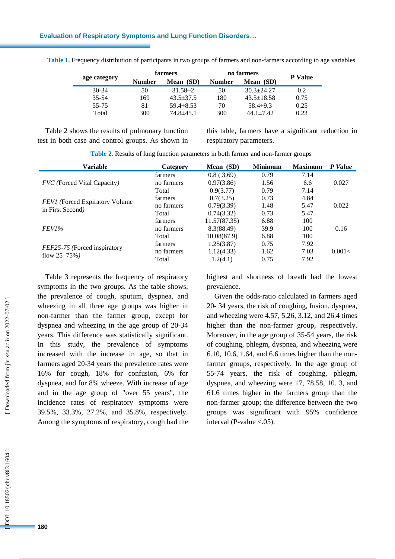#### **Evaluation of Respiratory Symptoms and Lung Function Disorders…**

| age category | farmers       |                 | no farmers    |                  |                |
|--------------|---------------|-----------------|---------------|------------------|----------------|
|              | <b>Number</b> | Mean (SD)       | <b>Number</b> | Mean (SD)        | <b>P</b> Value |
| $30 - 34$    | 50            | $31.58 \pm 2$   | 50            | $30.3 + 24.27$   | 0.2            |
| $35 - 54$    | 169           | $43.5 \pm 37.5$ | 180           | $43.5 \pm 18.58$ | 0.75           |
| 55-75        | 81            | $59.4 \pm 8.53$ | 70            | $58.4\pm9.3$     | 0.25           |
| Total        | 300           | $74.8 \pm 45.1$ | 300           | $44.1 \pm 7.42$  | 0.23           |

Table 1. Frequency distribution of participants in two groups of farmers and non-farmers according to age variables

Table 2 shows the results of pulmonary function test in both case and control groups. As shown in

this table, farmers have a significant reduction in respiratory parameters.

| <b>Variable</b>                        | Category   | <b>Minimum</b><br>Mean (SD) |      | <b>Maximum</b> | P Value |  |
|----------------------------------------|------------|-----------------------------|------|----------------|---------|--|
|                                        | farmers    | 0.8(3.69)                   | 0.79 | 7.14           |         |  |
| <i>FVC</i> (Forced Vital Capacity)     | no farmers | 0.97(3.86)                  | 1.56 | 6.6            | 0.027   |  |
|                                        | Total      | 0.9(3.77)                   | 0.79 | 7.14           |         |  |
|                                        | farmers    | 0.7(3.25)                   | 0.73 | 4.84           |         |  |
| <b>FEVI</b> (Forced Expiratory Volume) | no farmers | 0.79(3.39)                  | 1.48 | 5.47           | 0.022   |  |
| in First Second)                       | Total      | 0.74(3.32)                  | 0.73 | 5.47           |         |  |
|                                        | farmers    | 11.57(87.35)                | 6.88 | 100            |         |  |
| FEV1%                                  | no farmers | 8.3(88.49)                  | 39.9 | 100            | 0.16    |  |
|                                        | Total      | 10.08(87.9)                 | 6.88 | 100            |         |  |
|                                        | farmers    | 1.25(3.87)                  | 0.75 | 7.92           |         |  |
| FEF25-75 (Forced inspiratory           | no farmers | 1.12(4.33)                  | 1.62 | 7.03           | 0.001<  |  |
| flow $25 - 75\%$ )                     | Total      | 1.2(4.1)                    | 0.75 | 7.92           |         |  |

Table 2. Results of lung function parameters in both farmer and non-farmer groups

Table 3 represents the frequency of respiratory symptoms in the two groups. As the table shows , the prevalence of cough, sputum, dyspnea , and wheezing in all three age groups was higher in non -farmer than the farmer group, except for dyspnea and wheezing in the age group of 20 -34 years. This difference was statistically significant. In this study, the prevalence of symptoms increased with the increase in age , so that in farmers aged 20 -34 years the prevalence rates were 16% for cough, 18% for confusion, 6% for dyspnea , and for 8% wheeze. With increase of age and in the age group of "over 55 years", the incidence rates of respiratory symptoms were 39.5%, 33.3%, 27.2%, and 35.8%, respectively. Among the symptoms of respiratory , cough had the

highest and shortness of breath had the lowest prevalence .

Given the odds-ratio calculated in farmers aged 20 - 34 years, the risk of coughing , fusion, dyspnea, and wheezing were 4.57, 5.26, 3.12, and 26 .4 times higher than the non -farmer group, respectively. Moreover, in the age group of 35 -54 years, the risk of coughing, phlegm, dyspnea , and wheezing were 6.10, 10.6, 1.64 , and 6.6 times higher than the non farmer groups, respectively. In the age group of 55 -74 years, the risk of coughing, phlegm, dyspnea, and wheezing were 17, 78 .58, 10 . 3 , and 61 .6 times higher in the farmers group than the non -farmer group; the difference between the two groups was significant with 95% confidence interval (P -value <.05).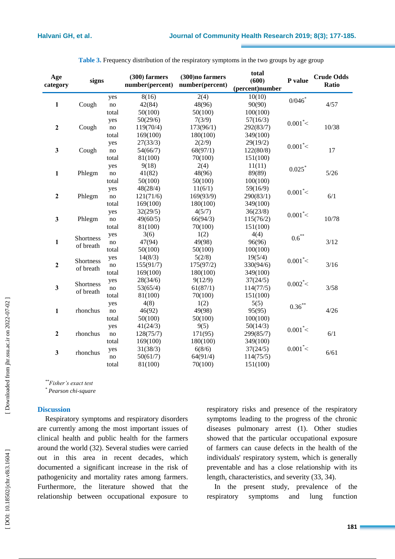| Age<br>category         | signs     |                | (300) farmers<br>(300)no farmers<br>number(percent)<br>number(percent) |           | total<br>(600)<br>(percent)number | P value    | <b>Crude Odds</b><br>Ratio |
|-------------------------|-----------|----------------|------------------------------------------------------------------------|-----------|-----------------------------------|------------|----------------------------|
|                         |           | yes            | 8(16)                                                                  | 2(4)      | 10(10)                            | 0/046      |                            |
| $\mathbf{1}$            | Cough     | $\mathbf{n}$ o | 42(84)                                                                 | 48(96)    | 90(90)                            |            | 4/57                       |
|                         |           | total          | 50(100)                                                                | 50(100)   | 100(100)                          |            |                            |
|                         |           | yes            | 50(29/6)                                                               | 7(3/9)    | 57(16/3)                          |            |                            |
| $\mathbf 2$             | Cough     | no             | 119(70/4)                                                              | 173(96/1) | 292(83/7)                         | $0.001^*<$ | 10/38                      |
|                         |           | total          | 169(100)                                                               | 180(100)  | 349(100)                          |            |                            |
|                         |           | yes            | 27(33/3)                                                               | 2(2/9)    | 29(19/2)                          | $0.001* <$ |                            |
| $\mathbf{3}$            | Cough     | no             | 54(66/7)                                                               | 68(97/1)  | 122(80/8)                         |            | 17                         |
|                         |           | total          | 81(100)                                                                | 70(100)   | 151(100)                          |            |                            |
|                         |           | yes            | 9(18)                                                                  | 2(4)      | 11(11)                            | 0.025      |                            |
| $\mathbf{1}$            | Phlegm    | $\mathbf{n}$ o | 41(82)                                                                 | 48(96)    | 89(89)                            |            | $5/26$                     |
|                         |           | total          | 50(100)                                                                | 50(100)   | 100(100)                          |            |                            |
|                         |           | yes            | 48(28/4)                                                               | 11(6/1)   | 59(16/9)                          | $0.001* <$ |                            |
| $\boldsymbol{2}$        | Phlegm    | no             | 121(71/6)                                                              | 169(93/9) | 290(83/1)                         |            | 6/1                        |
|                         |           | total          | 169(100)                                                               | 180(100)  | 349(100)                          |            |                            |
|                         |           | yes            | 32(29/5)                                                               | 4(5/7)    | 36(23/8)                          | $0.001* <$ |                            |
| 3                       | Phlegm    | $\mathbf{n}$ o | 49(60/5)                                                               | 66(94/3)  | 115(76/2)                         |            | 10/78                      |
|                         |           | total          | 81(100)                                                                | 70(100)   | 151(100)                          |            |                            |
|                         |           | yes            | 3(6)                                                                   | 1(2)      | 4(4)                              | $0.6***$   |                            |
| $\mathbf{1}$            | Shortness |                | 47(94)                                                                 | 49(98)    | 96(96)                            |            | 3/12                       |
|                         | of breath | total          | 50(100)                                                                | 50(100)   | 100(100)                          |            |                            |
|                         | Shortness | yes            | 14(8/3)                                                                | 5(2/8)    | 19(5/4)                           | $0.001* <$ |                            |
| $\mathbf 2$             | of breath | $\mathbf{no}$  | 155(91/7)                                                              | 175(97/2) | 330(94/6)                         |            | 3/16                       |
|                         |           | total          | 169(100)                                                               | 180(100)  | 349(100)                          |            |                            |
|                         | Shortness | yes            | 28(34/6)                                                               | 9(12/9)   | 37(24/5)                          | $0.002* <$ |                            |
| $\mathbf{3}$            | of breath | no             | 53(65/4)                                                               | 61(87/1)  | 114(77/5)                         |            | 3/58                       |
|                         |           | total          | 81(100)                                                                | 70(100)   | 151(100)                          |            |                            |
|                         |           | yes            | 4(8)                                                                   | 1(2)      | 5(5)                              | $0.36***$  |                            |
| $\mathbf{1}$            | rhonchus  | no             | 46(92)                                                                 | 49(98)    | 95(95)                            |            | 4/26                       |
|                         |           | total          | 50(100)                                                                | 50(100)   | 100(100)                          |            |                            |
|                         |           | yes            | 41(24/3)                                                               | 9(5)      | 50(14/3)                          | $0.001* <$ |                            |
| $\overline{\mathbf{c}}$ | rhonchus  | no             | 128(75/7)                                                              | 171(95)   | 299(85/7)                         |            | 6/1                        |
|                         |           | total          | 169(100)                                                               | 180(100)  | 349(100)                          |            |                            |
|                         | rhonchus  | yes            | 31(38/3)                                                               | 6(8/6)    | 37(24/5)                          | $0.001* <$ | 6/61                       |
| $\mathbf{3}$            |           | no             | 50(61/7)                                                               | 64(91/4)  | 114(75/5)                         |            |                            |
|                         |           | total          | 81(100)                                                                | 70(100)   | 151(100)                          |            |                            |

| Table 3. Frequency distribution of the respiratory symptoms in the two groups by age group |  |  |  |  |
|--------------------------------------------------------------------------------------------|--|--|--|--|
|                                                                                            |  |  |  |  |

*\*\*Fisher's exact test*

*\* Pearson chi-square*

#### **Discussion**

Respiratory symptoms and respiratory disorders are currently among the most important issues of clinical health and public health for the farmers around the world (32). Several studies wer e carried out in this area in recent decades , which documented a significant increase in the risk of pathogenicity and mortality rates among farmers. Furthermore, the literature showed that the relationship between occupational exposure to

respiratory risks and presence of the respiratory symptoms leading to the progress of the chronic diseases pulmonary arrest (1). Other studies showed that the particular occupational exposure of farmers can cause defects in the health of the individuals' respiratory syste m , which is generally preventable and has a close relationship with its length, characteristics , and severity (33, 34).

In the present study, prevalence of the respiratory symptoms and lung function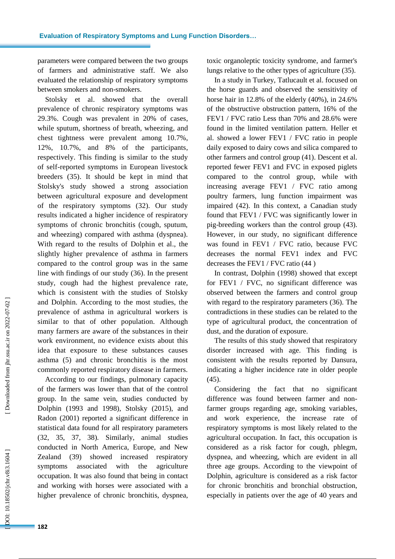parameters were compared between the two groups of farmers and administrative staff. We also evaluated the relationship of respiratory symptoms between smokers and non -smokers.

Stolsky et al. showed that the overall prevalence of chronic respiratory symptoms was 29.3%. Cough was prevalent in 20% of cases, while sputum, shortness of breath, wheezing , and chest tightness were prevalent among 10.7%, 12%, 10.7%, and 8% of the participants, respectively. This finding is similar to the study of self -reported symptoms in European livestock breeders (35). It should be kept in mind that Stolsky's study showed a strong association between agricultural exposure and development of the respiratory symptoms (32). Our study results indicated a higher incidence of respiratory symptoms of chronic bronchitis (cough, sputum, and wheezing) compared with asthma (dyspnea). With regard to the results of Dolphin et al., the slightly higher prevalence of asthma in farmers compared to the control group was in the same line with findings of our study (36). In the present study, cough ha d the highest prevalence rate, which is consistent with the studies of Stolsky and Dolphin. According to the most studies, the prevalence of asthma in agricultural workers is similar to that of other population. Although many farmers are aware of the substance s in their work environment, no evidence exists about this idea that exposure to these substances causes asthma (5) and chronic bronchitis is the most commonly reported respiratory disease in farmers.

According to our findings, pulmonary capacity of the farmers was lower than that of the control group. In the same vein, studies conducted by Dolphin (1993 and 1998), Stolsky (2015), and Radon (2001 ) reported a significant difference in statistical data found for all respiratory parameters (32, 35, 37, 38). Similarly, animal studies conducted in North America, Europe, and New Zealand (39) showed increased respiratory symptoms associated with the agriculture occupation. It was also found that being in contact and working with horses were associated with a higher prevalence of chronic bronchitis, dyspnea,

toxic organoleptic toxicity syndrome , and farmer's lungs relative to the other types of agriculture (35).

In a study in Turkey, Tatlucault et al. focused on the horse guards and observed the sensitivity of horse hair in 12.8% of the elderly (40%), in 24.6% of the obstructive obstruction pattern, 16% of the FEV1 / FVC ratio Less than 70% and 28.6% were found in the limited ventilation pattern. Heller et al. showed a lower FEV1 / FVC ratio in people daily exposed to dairy cows and silica compared to other farmers and control group (41). Descent et al. reported fewer FEV1 and FVC in exposed piglets compared to the control group , while with increasing average FEV1 / FVC ratio among poultry farmers, lung function impairment was impaired (42). In this context, a Canadian study found that FEV1 / FVC was significantly lower in pi g -breeding workers than the control group (43). However, in our study , no significant difference was found in FEV1 / FVC ratio , because FVC decreases the normal FEV1 index and FVC decreases the FEV1 / FVC ratio (44 )

In contrast, Dolphin (1998) showed that except for FEV1 / FVC, no significant difference was observed between the farmers and control group with regard to the respiratory parameters (36). The contradictions in these studies can be related to the type of agricultural product, the concentration of dust , and the duration of exposure.

The results of this study showed that respiratory disorder increase d with age. This finding is consistent with the results reported by Dansura, indicating a higher incidence rate in older people (45).

Considering the fact that no significant difference was found between farmer and non farmer groups regarding age, smoking variables , and work experience, the increase rate of respiratory symptoms is most likely related to the agricultural occupation. In fact , this occupation is considered as a risk factor for cough, phlegm, dyspnea , and wheezing , which are evident in all three age groups. According to the viewpoint of Dolphin, agriculture is considered as a risk factor for chronic bronchitis and bronchial obstruction, especially in patients over the age of 40 years and

OOI: 10.18502/jchr.v8i3.1604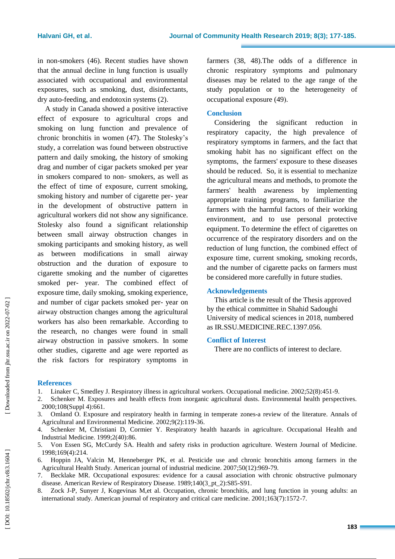in non -smokers (46). Recent studies have shown that the annual decline in lung function is usually associated with occupational and environmental exposures , such as smoking, dust, disinfectants, dry auto -feeding , and endotoxin systems (2).

A study in Canada showed a positive interactive effect of exposure to agricultural crops and smoking on lung function and prevalence of chronic bronchitis in women (47). The Stolesky's study , a correlation was found between obstructive pattern and daily smoking, the history of smoking drag and number of cigar packets smoked per year in smokers compared to non - smokers, as well as the effect of time of exposure, current smoking, smoking history and number of cigarette per - year in the development of obstructive pattern in agricultural workers did not show any significance. Sto l esky also found a significant relationship between small airway obstruction changes in smoking participants and smoking history, as well as between modifications in small airway obstruction and the duration of exposure to cigarette smoking and the number of cigarettes smoked per - year. The combined effect of exposure time, daily smoking, smoking experience, and number of cigar packets smoked per - year on airway obstruction changes among the agricultural workers has also been remarkable. According to the research, no changes were found in small airway obstruction in passive smokers. In some other studies, cigarette and age were reported as the risk factor s for respiratory symptoms in farmers (38, 48).The odds of a difference in chronic respiratory symptoms and pulmonary diseases may be related to the age range of the study population or to the heterogeneity of occupational exposure (49).

### **Conclusion**

Considering the significant reduction in respiratory capacity , the high prevalence of respiratory symptoms in farmers, and the fact that smoking habit has no significant effect on the symptoms , the farmers' exposure to these diseases should be reduced. So, it is essential to mechanize the agricultural means and methods, to promote the farmers' health awareness by implementing appropriate training programs, to familiarize the farmers with the harmful factors of their working environment, and to use personal protective equipment. To determine the effect of cigarettes on occurrence of the respiratory disorders and on the reduction of lung function, the combined effect of exposure time, current smoking, smoking records , and the number of cigarette packs on farmers must be considered more carefully in future studies.

#### **Acknowledgements**

This article is the result of the Thesis approved by the ethical committee in Shahid Sadoughi University of medical sciences in 201 8, numbered as IR.SSU.MEDICINE.REC.139 7 .056.

#### **Conflict of Interest**

There are no conflicts of interest to declare.

#### **References**

- 1. Linaker C, Smedley J. Respiratory illness in agricultural workers. Occupational medicine. 2002;52(8):451 -9.
- 2. Schenker M. Exposures and health effects from inorganic agricultural dusts. Environmental health perspectives. 2000;108(Suppl 4):661.
- 3. Omland O. Exposure and respiratory health in farming in temperate zones -a review of the literature. Annals of Agricultural and Environmental Medicine. 2002;9(2):119 -36.
- 4. Schenker M, Christiani D, Cormier Y. Respiratory health hazards in agriculture. Occupational Health and Industrial Medicine. 1999;2(40):86.
- 5. Von Essen SG, McCurdy SA. Health and safety risks in production agriculture. Western Journal of Medicine. 1998;169(4):214.
- 6. Hoppin JA, Valcin M, Henneberger PK, et al. Pesticide use and chronic bronchitis among farmers in the Agricultural Health Study. American journal of industrial medicine. 2007;50(12):969 -79.
- 7. Becklake MR. Occupational exposures: evidence for a causal association with chronic obstructive pulmonary disease. American Review of Respiratory Disease. 1989;140(3\_pt\_2):S85 -S91.
- 8. Zock J -P, Sunyer J, Kogevinas M,et al. Occupation, chronic bronchitis, and lung function in young adults: an international study. American journal of respiratory and critical care medicine. 2001;163(7):1572 -7.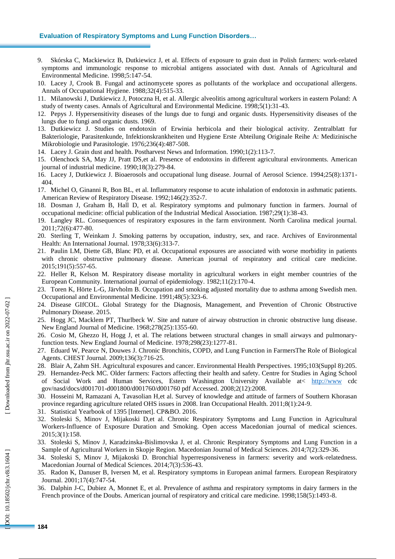#### **Evaluation of Respiratory Symptoms and Lung Function Disorders…**

- 9. Skórska C, Mackiewicz B, Dutkiewicz J, et al. Effects of exposure to grain dust in Polish farmers: work -related symptoms and immunologic response to microbial antigens associated with dust. Annals of Agricultural and Environmental Medicine. 1998;5:147 -54.
- 10. Lacey J, Crook B. Fungal and actinomycete spores as pollutants of the workplace and occupational allergens. Annals of Occupational Hygiene. 1988;32(4):515 -33.
- 11. Milanowski J, Dutkiewicz J, Potoczna H, et al. Allergic alveolitis among agricultural workers in eastern Poland: A study of twenty cases. Annals of Agricultural and Environmental Medicine. 1998;5(1):31 -43.
- 12. Pepys J. Hypersensitivity diseases of the lungs due to fungi and organic dusts. Hypersensitivity diseases of the lungs due to fungi and organic dusts. 1969.
- 13. Dutkiewicz J. Studies on endotoxin of Erwinia herbicola and their biological activity. Zentralblatt fur Bakteriologie, Parasitenkunde, Infektionskrankheiten und Hygiene Erste Abteilung Originale Reihe A: Medizinische Mikrobiologie und Parasitologie. 1976;236(4):487 -508.
- 14. Lacey J. Grain dust and health. Postharvest News and Information. 1990;1(2):113 -7.
- 15. Olenchock SA, May JJ, Pratt DS,et al. Presence of endotoxins in different agricultural environments. American journal of industrial medicine. 1990;18(3):279 -84.
- 16. Lacey J, Dutkiewicz J. Bioaerosols and occupational lung disease. Journal of Aerosol Science. 1994;25(8):1371 404.
- 17. Michel O, Ginanni R, Bon BL, et al. Inflammatory response to acute inhalation of endotoxin in asthmatic patients. American Review of Respiratory Disease. 1992;146(2):352 -7.
- 18. Dosman J, Graham B, Hall D, et al. Respiratory symptoms and pulmonary function in farmers. Journal of occupational medicine: official publication of the Industrial Medical Association. 1987;29(1):38 -43.
- 19. Langley RL. Consequences of respiratory exposures in the farm environment. North Carolina medical journal. 2011;72(6):477 -80.
- 20. Sterling T, Weinkam J. Smoking patterns by occupation, industry, sex, and race. Archives of Environmental Health: An International Journal. 1978;33(6):313-7.
- 21. Paulin LM, Diette GB, Blanc PD, et al. Occupational exposures are associated with worse morbidity in patients with chronic obstructive pulmonary disease. American journal of respiratory and critical care medicine. 2015;191(5):557 -65.
- 22. Heller R, Kelson M. Respiratory disease mortality in agricultural workers in eight member countries of the European Community. International journal of epidemiology. 1982;11(2):170 -4.
- 23. Toren K, Hörte L -G, Järvholm B. Occupation and smoking adjusted mortality due to asthma among Swedish men. Occupational and Environmental Medicine. 1991;48(5):323 -6.
- 24. Disease GIfCOL. Global Strategy for the Diagnosis, Management, and Prevention of Chronic Obstructive Pulmonary Disease. 2015.
- 25. Hogg JC, Macklem PT, Thurlbeck W. Site and nature of airway obstruction in chronic obstructive lung disease. New England Journal of Medicine. 1968;278(25):1355 -60.
- 26. Cosio M, Ghezzo H, Hogg J, et al. The relations between structural changes in small airways and pulmonary function tests. New England Journal of Medicine. 1978;298(23):1277 -81.
- 27. Eduard W, Pearce N, Douwes J. Chronic Bronchitis, COPD, and Lung Function in FarmersThe Role of Biological Agents. CHEST Journal. 2009;136(3):716 -25.
- 28. Blair A, Zahm SH. Agricultural exposures and cancer. Environmental Health Perspectives. 1995;103(Suppl 8):205.
- 29. Hernandez -Peck MC. Older farmers: Factors affecting their health and safety. Centre for Studies in Aging School of Social Work and Human Services, Estern Washington University Available at< [http://www](http://www/) cdc gov/nasd/docs/d001701 -d001800/d001760/d001760 pdf Accessed. 2008;2(12):2008.
- 30. Hosseini M, Ramazani A, Tavasolian H,et al. Survey of knowledge and attitude of farmers of Southern Khorasan province regarding agriculture related OHS issues in 2008. Iran Occupational Health. 2011;8(1):24-9.
- 31. Statistical Yearbook of 1395 [Internet]. CP&BO. 2016.
- 32. Stoleski S, Minov J, Mijakoski D,et al. Chronic Respiratory Symptoms and Lung Function in Agricultural Workers -Influence of Exposure Duration and Smoking. Open access Macedonian journal of medical sciences. 2015;3(1):158.
- 33. Stoleski S, Minov J, Karadzinska -Bislimovska J, et al. Chronic Respiratory Symptoms and Lung Function in a Sample of Agricultural Workers in Skopje Region. Macedonian Journal of Medical Sciences. 2014;7(2):329 -36.
- 34. Stoleski S, Minov J, Mijakoski D. Bronchial hyperresponsiveness in farmers: severity and work -relatedness. Macedonian Journal of Medical Sciences. 2014;7(3):536 -43.
- 35. Radon K, Danuser B, Iversen M, et al. Respiratory symptoms in European animal farmers. European Respiratory Journal. 2001;17(4):747 -54.
- 36. Dalphin J -C, Dubiez A, Monnet E, et al. Prevalence of asthma and respiratory symptoms in dairy farmers in the French province of the Doubs. American journal of respiratory and critical care medicine. 1998;158(5):1493 -8.

DOI: 10.18502/jchr.v8i3.1604

**184**